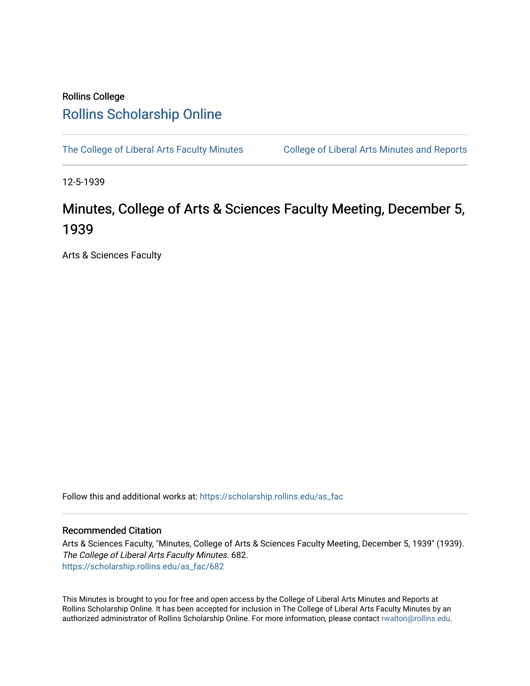## Rollins College [Rollins Scholarship Online](https://scholarship.rollins.edu/)

[The College of Liberal Arts Faculty Minutes](https://scholarship.rollins.edu/as_fac) College of Liberal Arts Minutes and Reports

12-5-1939

## Minutes, College of Arts & Sciences Faculty Meeting, December 5, 1939

Arts & Sciences Faculty

Follow this and additional works at: [https://scholarship.rollins.edu/as\\_fac](https://scholarship.rollins.edu/as_fac?utm_source=scholarship.rollins.edu%2Fas_fac%2F682&utm_medium=PDF&utm_campaign=PDFCoverPages) 

## Recommended Citation

Arts & Sciences Faculty, "Minutes, College of Arts & Sciences Faculty Meeting, December 5, 1939" (1939). The College of Liberal Arts Faculty Minutes. 682. [https://scholarship.rollins.edu/as\\_fac/682](https://scholarship.rollins.edu/as_fac/682?utm_source=scholarship.rollins.edu%2Fas_fac%2F682&utm_medium=PDF&utm_campaign=PDFCoverPages) 

This Minutes is brought to you for free and open access by the College of Liberal Arts Minutes and Reports at Rollins Scholarship Online. It has been accepted for inclusion in The College of Liberal Arts Faculty Minutes by an authorized administrator of Rollins Scholarship Online. For more information, please contact [rwalton@rollins.edu](mailto:rwalton@rollins.edu).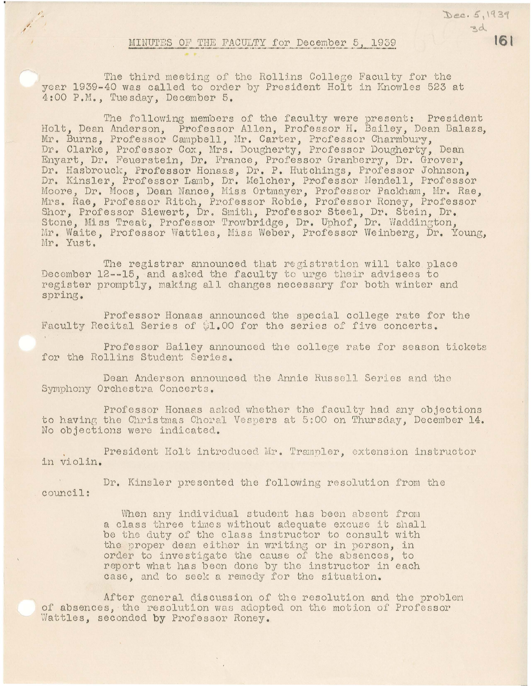## MINUTES OF THE FACULTY for December 5, 1939

 $\mathcal{L}_{\alpha}$ 

Dec. 5, 1939

3d

161

The third meeting of the Rollins College Faculty for the year 1939-40 was called to order by President Holt in Knowles 523 at 4:00 P.M., Tuesday, December 5.

The following members of the faculty were present: President Holt, Dean Anderson, Professor Allen, Professor H. Bailey, Dean Balazs, Mr. Burns, Professor Campbell, Mr. Carter, Professor Charmbury, Dr. Clarke, Professor Cox, Mrs. Dougherty, Professor Dougherty, Dean Enyart, Dr. Feuerstein, Dr. France, Professor Granberry, Dr. Grover, Dr. Hasbrouck, Professor Honaas, Dr. P. Hutchings, Professor Johnson, Dr. Kinsler, Professor Lamb, Dr. Melcher, Professor Mendell, Professor Moore, Dr. Moos, Dean Nance, Miss Ortmayer, Professor Packham, Mr. Rae, Mrs. Rae, Professor Ritch, Professor Robie, Professor Roney, Professor Shor, Professor Siewert, Dr. Smith, Professor Steel, Dr. Stein, Dr. Stone, Miss Treat, Professor Trowbridge, Dr. Uphof, Dr. Waddington, Mr. Waite, Professor Wattles, Miss Weber, Professor Weinberg, Dr. Young, Mr. Yust.

The registrar announced that registration will take place December 12--15, and asked the faculty to urge their advisees to register promptly, making all changes necessary for both winter and spring.

Professor Honaas announced the special college rate for the Faculty Recital Series of \$1.00 for the series of five concerts.

Professor Bailey announced the college rate for season tickets for the Rollins Student Series.

Dean Anderson announced the Annie Russell Series and the Symphony Orchestra Concerts.

Professor Honaas asked whether the faculty had any objections to having the Christmas Choral Vespers at 5:00 on Thursday, December 14. No objections were indicated.

President Holt introduced Mr. Trampler, extension instructor in violin.

Dr. Kinsler presented the following resolution from the council:

> When any individual student has been absent from a class three times without adequate excuse it shall be the duty of the class instructor to consult with the proper dean either in writing or in person, in order to investigate the cause of the absences, to report what has been done by the instructor in each case, and to seek a remedy for the situation.

After general discussion of the resolution and the problem of absences, the resolution was adopted on the motion of Professor Wattles, seconded by Professor Roney.